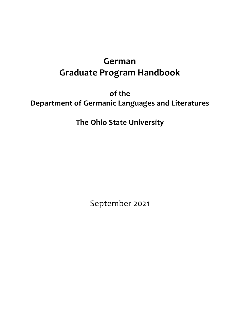# **German Graduate Program Handbook**

**of the Department of Germanic Languages and Literatures**

**The Ohio State University**

September 2021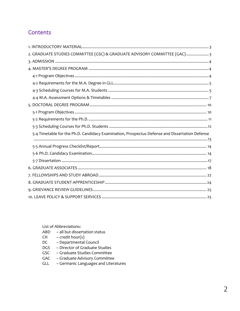# **Contents**

| 2. GRADUATE STUDIES COMMITTEE (GSC) & GRADUATE ADVISORY COMMITTEE (GAC) 3                      |
|------------------------------------------------------------------------------------------------|
|                                                                                                |
|                                                                                                |
|                                                                                                |
|                                                                                                |
|                                                                                                |
|                                                                                                |
|                                                                                                |
|                                                                                                |
|                                                                                                |
|                                                                                                |
| 5-4 Timetable for the Ph.D. Candidacy Examination, Prospectus Defense and Dissertation Defense |
|                                                                                                |
|                                                                                                |
|                                                                                                |
|                                                                                                |
|                                                                                                |
|                                                                                                |
|                                                                                                |
|                                                                                                |
|                                                                                                |
|                                                                                                |

List of Abbreviations:

- ABD all but dissertation status
- $-$  credit hour(s)  $CH$
- **DC** - Departmental Council
- **DGS** - Director of Graduate Studies
- GSC - Graduate Studies Committee
- GAC Graduate Advisory Committee
- Germanic Languages and Literatures GLL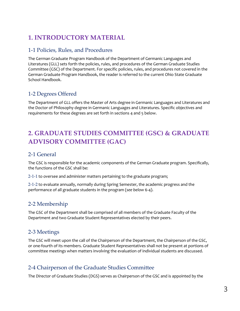# <span id="page-2-0"></span>**1. INTRODUCTORY MATERIAL**

## 1-1 Policies, Rules, and Procedures

The German Graduate Program Handbook of the Department of Germanic Languages and Literatures (GLL) sets forth the policies, rules, and procedures of the German Graduate Studies Committee (GSC) of the Department. For specific policies, rules, and procedures not covered in the German Graduate Program Handbook, the reader is referred to the current Ohio State [Graduate](http://www.gradsch.ohio-state.edu/graduate-school-handbook1.html)  [School Handbook.](http://www.gradsch.ohio-state.edu/graduate-school-handbook1.html)

## 1-2 Degrees Offered

The Department of GLL offers the Master of Arts degree in Germanic Languages and Literatures and the Doctor of Philosophy degree in Germanic Languages and Literatures. Specific objectives and requirements for these degrees are set forth in sections 4 and 5 below.

# <span id="page-2-1"></span>**2. GRADUATE STUDIES COMMITTEE (GSC) & GRADUATE ADVISORY COMMITTEE (GAC)**

## 2-1 General

The GSC is responsible for the academic components of the German Graduate program. Specifically, the functions of the GSC shall be:

2-1-1 to oversee and administer matters pertaining to the graduate program;

2-1-2 to evaluate annually, normally during Spring Semester, the academic progress and the performance of all graduate students in the program (*see below* 6-4).

## 2-2 Membership

The GSC of the Department shall be comprised of all members of the Graduate Faculty of the Department and two Graduate Student Representatives elected by their peers.

## 2-3 Meetings

The GSC will meet upon the call of the Chairperson of the Department, the Chairperson of the GSC, or one-fourth of its members. Graduate Student Representatives shall not be present at portions of committee meetings when matters involving the evaluation of individual students are discussed.

## 2-4 Chairperson of the Graduate Studies Committee

The Director of Graduate Studies (DGS) serves as Chairperson of the GSC and is appointed by the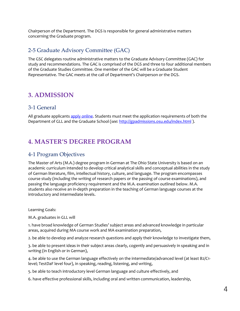Chairperson of the Department. The DGS is responsible for general administrative matters concerning the Graduate program.

## 2-5 Graduate Advisory Committee (GAC)

The GSC delegates routine administrative matters to the Graduate Advisory Committee (GAC) for study and recommendations. The GAC is comprised of the DGS and three to four additional members of the Graduate Studies Committee. One member of the GAC will be a Graduate Student Representative. The GAC meets at the call of Department's Chairperson or the DGS.

# <span id="page-3-0"></span>**3. ADMISSION**

## 3-1 General

All graduate applicants [apply online.](http://germanic.osu.edu/application-form) Students must meet the application requirements of both the Department of GLL and the Graduate School (*see:* <http://gpadmissions.osu.edu/index.html> ).

# <span id="page-3-1"></span>**4. MASTER'S DEGREE PROGRAM**

## <span id="page-3-2"></span>4-1 Program Objectives

The Master of Arts (M.A.) degree program in German at The Ohio State University is based on an academic curriculum intended to develop critical analytical skills and conceptual abilities in the study of German literature, film, intellectual history, culture, and language. The program encompasses course study (including the writing of research papers or the passing of course examinations), and passing the language proficiency requirement and the M.A. examination outlined below. M.A. students also receive an in-depth preparation in the teaching of German language courses at the introductory and intermediate levels.

Learning Goals:

M.A. graduates in GLL will

1. have broad knowledge of German Studies' subject areas and advanced knowledge in particular areas, acquired during MA course work and MA examination preparation,

2. be able to develop and analyze research questions and apply their knowledge to investigate them,

3. be able to present ideas in their subject areas clearly, cogently and persuasively in speaking and in writing (in English or in German),

4. be able to use the German language effectively on the intermediate/advanced level (at least B2/C1 level; TestDaF level four), in speaking, reading, listening, and writing,

5. be able to teach introductory level German language and culture effectively, and

6. have effective professional skills, including oral and written communication, leadership,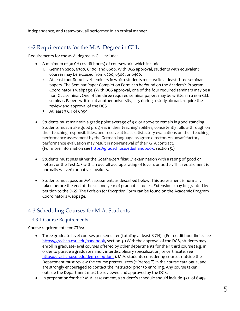independence, and teamwork, all performed in an ethical manner.

## <span id="page-4-0"></span>4-2 Requirements for the M.A. Degree in GLL

Requirements for the M.A. degree in GLL include:

- A minimum of 30 CH (credit hours) of coursework, which include
	- 1. German 6200, 6300, 6400, and 6600. With DGS approval, students with equivalent courses may be excused from 6200, 6300, or 6400.
	- 2. At least four 8000-level seminars in which students must write at least three seminar papers. The Seminar Paper Completion Form can be found on the Academic Program Coordinator's webpage. (With DGS approval, one of the four required seminars may be a non-GLL seminar. One of the three required seminar papers may be written in a non-GLL seminar. Papers written at another university, e.g. during a study abroad, require the review and approval of the DGS.
	- 3. At least 3 CH of 6999.
- Students must maintain a grade point average of 3.0 or above to remain in good standing. Students must make good progress in their teaching abilities, consistently follow through on their teaching responsibilities, and receive at least satisfactory evaluations on their teaching performance assessment by the German language program director. An unsatisfactory performance evaluation may result in non-renewal of their GTA contract. (For more information see [https://gradsch.osu.edu/handbook,](https://gradsch.osu.edu/handbook) section 5.)
- Students must pass either the Goethe-Zertifikat C1 examination with a rating of good or better, or the TestDaF with an overall average rating of level 4 or better. This requirement is normally waived for native speakers.
- Students must pass an MA assessment, as described below. This assessment is normally taken before the end of the second year of graduate studies. Extensions may be granted by petition to the DGS. The *Petition for Exception* Form can be found on the Academic Program Coordinator's webpage.

## <span id="page-4-1"></span>4-3 Scheduling Courses for M.A. Students

### 4-3-1 Course Requirements

Course requirements for GTAs:

- Three graduate-level courses per semester (totaling at least 8 CH). (For credit hour limits see [https://gradsch.osu.edu/handbook,](https://gradsch.osu.edu/handbook) section 3.) With the approval of the DGS, students may enroll in graduate-level courses offered by other departments for their third course (e.g. in order to pursue a graduate minor, interdisciplinary specialization, or certificate; see [https://gradsch.osu.edu/degree-options\)](https://gradsch.osu.edu/degree-options). M.A. students considering courses outside the Department must review the course prerequisites ("Prereq.") in the course catalogue, and are strongly encouraged to contact the instructor prior to enrolling. Any course taken outside the Department must be reviewed and approved by the DGS.
- In preparation for their M.A. assessment, a student's schedule should include 3-CH of 6999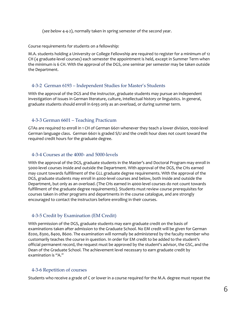(*see below* 4-4-2), normally taken in spring semester of the second year.

Course requirements for students on a fellowship:

M.A. students holding a University or College Fellowship are required to register for a minimum of 12 CH (4 graduate-level courses) each semester the appointment is held, except in Summer Term when the minimum is 6 CH. With the approval of the DGS, one seminar per semester may be taken outside the Department.

#### 4-3-2 German 6193 – Independent Studies for Master's Students

With the approval of the DGS and the instructor, graduate students may pursue an independent investigation of issues in German literature, culture, intellectual history or linguistics. In general, graduate students should enroll in 6193 only as an overload, or during summer term.

#### 4-3-3 German 6601 – Teaching Practicum

GTAs are required to enroll in 1 CH of German 6601 whenever they teach a lower division, 1000-level German language class. German 6601 is graded S/U and the credit hour does not count toward the required credit hours for the graduate degree.

#### 4-3-4 Courses at the 4000- and 5000-levels

With the approval of the DGS, graduate students in the Master's and Doctoral Program may enroll in 5000-level courses inside and outside the Department. With approval of the DGS, the CHs earned may count towards fulfillment of the GLL graduate degree requirements. With the approval of the DGS, graduate students may enroll in 4000-level courses and below, both inside and outside the Department, but only as an overload. (The CHs earned in 4000-level courses do not count towards fulfillment of the graduate degree requirements). Students must review course prerequisites for courses taken in other programs and departments in the course catalogue, and are strongly encouraged to contact the instructors before enrolling in their courses.

### 4-3-5 Credit by Examination (EM Credit)

With permission of the DGS, graduate students may earn graduate credit on the basis of examinations taken after admission to the Graduate School. No EM credit will be given for German 8200, 8300, 8400, 8600. The examination will normally be administered by the faculty member who customarily teaches the course in question. In order for EM credit to be added to the student's official permanent record, the request must be approved by the student's advisor, the GSC, and the Dean of the Graduate School. The achievement level necessary to earn graduate credit by examination is "A."

### 4-3-6 Repetition of courses

Students who receive a grade of C or lower in a course required for the M.A. degree must repeat the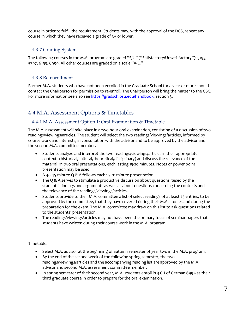course in order to fulfill the requirement. Students may, with the approval of the DGS, repeat any course in which they have received a grade of C+ or lower.

### 4-3-7 Grading System

The following courses in the M.A. program are graded "S/U" ("Satisfactory/Unsatisfactory"): 5193, 5797, 6193, 6999, All other courses are graded on a scale "A-E."

### 4-3-8 Re-enrollment

Former M.A. students who have not been enrolled in the Graduate School for a year or more should contact the Chairperson for permission to re-enroll. The Chairperson will bring the matter to the GSC. For more information see also see [https://gradsch.osu.edu/handbook,](https://gradsch.osu.edu/handbook) section 3.

## <span id="page-6-0"></span>4-4 M.A. Assessment Options & Timetables

### 4-4-1 M.A. Assessment Option 1: Oral Examination & Timetable

The M.A. assessment will take place in a two-hour oral examination, consisting of a discussion of two readings/viewings/articles. The student will select the two readings/viewings/articles, informed by course work and interests, in consultation with the advisor and to be approved by the advisor and the second M.A. committee member.

- Students analyze and interpret the two readings/viewings/articles in their appropriate contexts (historical/cultural/theoretical/disciplinary) and discuss the relevance of the material, in two oral presentations, each lasting 15-20 minutes. Notes or power point presentation may be used.
- A 40-45-minute Q & A follows each 15-20 minute presentation.
- The Q & A serves to stimulate a productive discussion about questions raised by the students' findings and arguments as well as about questions concerning the contexts and the relevance of the readings/viewings/articles.
- Students provide to their M.A. committee a list of select readings of at least 25 entries, to be approved by the committee, that they have covered during their M.A. studies and during the preparation for the exam. The M.A. committee may draw on this list to ask questions related to the students' presentation.
- The readings/viewings/articles may not have been the primary focus of seminar papers that students have written during their course work in the M.A. program.

Timetable:

- Select M.A. advisor at the beginning of autumn semester of year two in the M.A. program.
- By the end of the second week of the following spring semester, the two readings/viewings/articles and the accompanying reading list are approved by the M.A. advisor and second M.A. assessment committee member.
- In spring semester of their second year, M.A. students enroll in 3 CH of German 6999 as their third graduate course in order to prepare for the oral examination.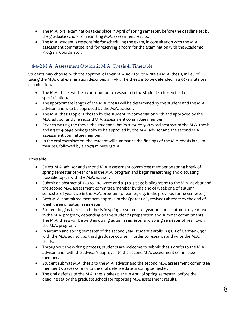- The M.A. oral examination takes place in April of spring semester, before the deadline set by the graduate school for reporting M.A. assessment results.
- The M.A. student is responsible for scheduling the exam, in consultation with the M.A. assessment committee, and for reserving a room for the examination with the Academic Program Coordinator.

### 4-4-2 M.A. Assessment Option 2: M.A. Thesis & Timetable

Students may choose, with the approval of their M.A. advisor, to write an M.A. thesis, in lieu of taking the M.A. oral examination described in 4-4-1. The thesis is to be defended in a 90-minute oral examination.

- The M.A. thesis will be a contribution to research in the student's chosen field of specialization.
- The approximate length of the M.A. thesis will be determined by the student and the M.A. advisor, and is to be approved by the M.A. advisor.
- The M.A. thesis topic is chosen by the student, in conversation with and approved by the M.A. advisor and the second M.A. assessment committee member.
- Prior to writing the thesis, the student submits a 250 to 500-word abstract of the M.A. thesis and a 3 to 4-page bibliography to be approved by the M.A. advisor and the second M.A. assessment committee member.
- In the oral examination, the student will summarize the findings of the M.A. thesis in 15-20 minutes, followed by a 70-75 minute Q & A.

Timetable:

- Select M.A. advisor and second M.A. assessment committee member by spring break of spring semester of year one in the M.A. program and begin researching and discussing possible topics with the M.A. advisor.
- Submit an abstract of 250 to 500-word and a 3 to 4-page bibliography to the M.A. advisor and the second M.A. assessment committee member by the end of week one of autumn semester of year two in the M.A. program (or earlier, e.g. in the previous spring semester).
- Both M.A. committee members approve of the (potentially revised) abstract by the end of week three of autumn semester.
- Student begins to research thesis in spring or summer of year one or in autumn of year two in the M.A. program, depending on the student's preparation and summer commitments. The M.A. thesis will be written during autumn semester and spring semester of year two in the M.A. program.
- In autumn and spring semester of the second year, student enrolls in 3 CH of German 6999 with the M.A. advisor, as third graduate course, in order to research and write the M.A. thesis.
- Throughout the writing process, students are welcome to submit thesis drafts to the M.A. advisor, and, with the advisor's approval, to the second M.A. assessment committee member.
- Student submits M.A. thesis to the M.A. advisor and the second M.A. assessment committee member two weeks prior to the oral defense date in spring semester.
- The oral defense of the M.A. thesis takes place in April of spring semester, before the deadline set by the graduate school for reporting M.A. assessment results.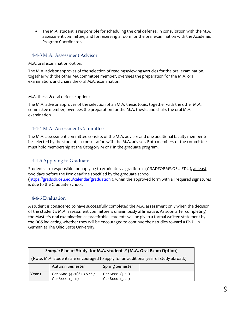• The M.A. student is responsible for scheduling the oral defense, in consultation with the M.A. assessment committee, and for reserving a room for the oral examination with the Academic Program Coordinator.

### 4-4-3 M.A. Assessment Advisor

M.A. oral examination option:

The M.A. advisor approves of the selection of readings/viewings/articles for the oral examination, together with the other MA committee member, oversees the preparation for the M.A. oral examination, and chairs the oral M.A. examination.

#### M.A. thesis & oral defense option:

The M.A. advisor approves of the selection of an M.A. thesis topic, together with the other M.A. committee member, oversees the preparation for the M.A. thesis, and chairs the oral M.A. examination.

### 4-4-4 M.A. Assessment Committee

The M.A. assessment committee consists of the M.A. advisor and one additional faculty member to be selected by the student, in consultation with the M.A. advisor. Both members of the committee must hold membership at the Category M or P in the graduate program.

### 4-4-5 Applying to Graduate

Students are responsible for applying to graduate via gradforms (GRADFORMS.OSU.EDU), at least two days before the firm deadline specified by the graduate school [\(https://gradsch.osu.edu/calendar/graduation](https://gradsch.osu.edu/calendar/graduation)), when the approved form with all required signatures is due to the Graduate School.

### 4-4-6 Evaluation

A student is considered to have successfully completed the M.A. assessment only when the decision of the student's M.A. assessment committee is unanimously affirmative. As soon after completing the Master's oral examination as practicable, students will be given a formal written statement by the DGS indicating whether they will be encouraged to continue their studies toward a Ph.D. in German at The Ohio State University.

| Sample Plan of Study <sup>1</sup> for M.A. students* (M.A. Oral Exam Option)          |                                                            |                                    |  |  |  |
|---------------------------------------------------------------------------------------|------------------------------------------------------------|------------------------------------|--|--|--|
| (Note: M.A. students are encouraged to apply for an additional year of study abroad.) |                                                            |                                    |  |  |  |
|                                                                                       | Autumn Semester                                            | <b>Spring Semester</b>             |  |  |  |
| Year <sub>1</sub>                                                                     | Ger 6600 (4-CH) <sup>2</sup> GTA-ship<br>Ger 6xxx $(3-CH)$ | Ger 6xxx (3-сн)<br>Ger 8xxx (3-сн) |  |  |  |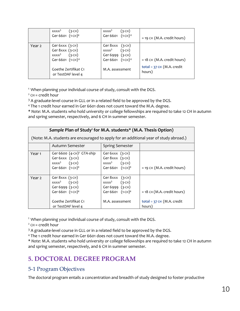|        | (3-CH)<br>$XXX^3$<br>Ger 6601 (1-CH) <sup>4</sup>                                                                                                 | $(3-CH)$<br>$XXX^3$<br>Ger 6601 (1-CH) <sup>4</sup>                                                      | $=$ 19 CH (M.A. credit hours)                                           |
|--------|---------------------------------------------------------------------------------------------------------------------------------------------------|----------------------------------------------------------------------------------------------------------|-------------------------------------------------------------------------|
| Year 2 | Ger $6$ xxx $(3-CH)$<br>Ger $8$ xxx $(3-CH)$<br>$(3-CH)$<br>$XXX^3$<br>Ger 6601 (1-CH) <sup>4</sup><br>Goethe Zertifikat C1<br>or TestDAF level 4 | Ger $8$ xxx $(3-CH)$<br>$(3-CH)$<br>$XXX^3$<br>Ger 6999 (3-CH)<br>Ger 6601 $(1-CH)^4$<br>M.A. assessment | $= 18$ CH (M.A. credit hours)<br>total = $37$ CH (M.A. credit<br>hours) |

<sup>1</sup>When planning your individual course of study, consult with the DGS.

 $2$  CH = credit hour

<sup>3</sup> A graduate-level course in GLL or in a related field to be approved by the DGS.

<sup>4</sup> The 1 credit hour earned in Ger 6601 does not count toward the M.A. degree.

\* *Note*: M.A. students who hold university or college fellowships are required to take 12 CH in autumn and spring semester, respectively, and 6 CH in summer semester.

| Sample Plan of Study' for M.A. students* (M.A. Thesis Option)                         |                                                                                                                               |                                                                                                      |                                                                         |  |  |
|---------------------------------------------------------------------------------------|-------------------------------------------------------------------------------------------------------------------------------|------------------------------------------------------------------------------------------------------|-------------------------------------------------------------------------|--|--|
| (Note: M.A. students are encouraged to apply for an additional year of study abroad.) |                                                                                                                               |                                                                                                      |                                                                         |  |  |
|                                                                                       | Autumn Semester                                                                                                               | <b>Spring Semester</b>                                                                               |                                                                         |  |  |
| Year <sub>1</sub>                                                                     | Ger 6600 $(4$ -CH $)^2$ GTA-ship<br>Ger $6xxx$ $(3-CH)$<br>$XXX3$ (3-CH)<br>Ger 6601 $(1-CH)^4$                               | Ger $6$ xxx $(3-CH)$<br>Ger $8$ xxx $(3-CH)$<br>$XXX3$ (3-CH)<br>Ger 6601 (1-CH) <sup>4</sup>        | $=$ 19 CH (M.A. credit hours)                                           |  |  |
| Year <sub>2</sub>                                                                     | Ger $8$ xxx $(3-CH)$<br>$XXX3$ (3-CH)<br>Ger 6999 (3-CH)<br>Ger 6601 $(1-CH)^4$<br>Goethe Zertifikat C1<br>or TestDAF level 4 | Ger $8$ xxx $(3-CH)$<br>$XXX3$ (3-CH)<br>Ger 6999 $(3-CH)$<br>Ger 6601 $(1-CH)^4$<br>M.A. assessment | $= 18$ CH (M.A. credit hours)<br>total = $37$ CH (M.A. credit<br>hours) |  |  |

<sup>1</sup>When planning your individual course of study, consult with the DGS.

 $2$  CH = credit hour

<sup>3</sup> A graduate-level course in GLL or in a related field to be approved by the DGS.

<sup>4</sup> The 1 credit hour earned in Ger 6601 does not count toward the M.A. degree.

\* *Note*: M.A. students who hold university or college fellowships are required to take 12 CH in autumn and spring semester, respectively, and 6 CH in summer semester.

# <span id="page-9-0"></span>**5. DOCTORAL DEGREE PROGRAM**

## <span id="page-9-1"></span>5-1 Program Objectives

The doctoral program entails a concentration and breadth of study designed to foster productive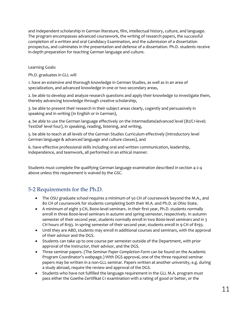and independent scholarship in German literature, film, intellectual history, culture, and language. The program encompasses advanced coursework, the writing of research papers, the successful completion of a written and oral Candidacy Examination, and the submission of a dissertation prospectus, and culminates in the presentation and defense of a dissertation. Ph.D. students receive in-depth preparation for teaching German language and culture.

Learning Goals:

Ph.D. graduates in GLL will

1. have an extensive and thorough knowledge in German Studies, as well as in an area of specialization, and advanced knowledge in one or two secondary areas,

2. be able to develop and analyze research questions and apply their knowledge to investigate them, thereby advancing knowledge through creative scholarship,

3. be able to present their research in their subject areas clearly, cogently and persuasively in speaking and in writing (in English or in German),

4. be able to use the German language effectively on the intermediate/advanced level (B2/C1-level; TestDaF level four), in speaking, reading, listening, and writing,

5. be able to teach at all levels of the German Studies Curriculum effectively (introductory level German language & advanced language and culture classes), and

6. have effective professional skills including oral and written communication, leadership, independence, and teamwork, all performed in an ethical manner.

Students must complete the qualifying German language examination described in section 4-2-4 above unless this requirement is waived by the GSC.

## <span id="page-10-0"></span>5-2 Requirements for the Ph.D.

- The OSU graduate school requires a minimum of 50 CH of coursework beyond the M.A., and 80 CH of coursework for students completing both their M.A. and Ph.D. at Ohio State.
- A minimum of eight 3-CH, 8000-level seminars. In their first year, Ph.D. students normally enroll in three 8000-level seminars in autumn and spring semester, respectively. In autumn semester of their second year, students normally enroll in two 8000-level seminars and in 3 CH hours of 8193. In spring semester of their second year, students enroll in 9 CH of 8193.
- Until they are ABD, students may enroll in additional courses and seminars, with the approval of their advisor and the DGS.
- Students can take up to one course per semester outside of the Department, with prior approval of the instructor, their advisor, and the DGS.
- Three seminar papers. (The *Seminar Paper Completion Form* can be found on the Academic Program Coordinator's webpage.) With DGS approval, one of the three required seminar papers may be written in a non-GLL seminar. Papers written at another university, e.g. during a study abroad, require the review and approval of the DGS.
- Students who have not fulfilled the language requirement in the GLL M.A. program must pass either the Goethe-Zertifikat C1 examination with a rating of good or better, or the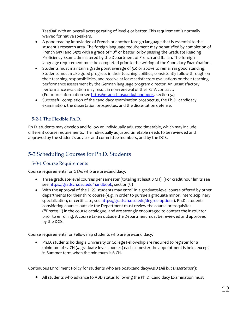TestDaF with an overall average rating of level 4 or better. This requirement is normally waived for native speakers.

- A good reading knowledge of French or another foreign language that is essential to the student's research area. The foreign language requirement may be satisfied by completion of French 6571 and 6572 with a grade of "B" or better, or by passing the Graduate Reading Proficiency Exam administered by the Department of French and Italian. The foreign language requirement must be completed prior to the writing of the Candidacy Examination.
- Students must maintain a grade point average of 3.0 or above to remain in good standing. Students must make good progress in their teaching abilities, consistently follow through on their teaching responsibilities, and receive at least satisfactory evaluations on their teaching performance assessment by the German language program director. An unsatisfactory performance evaluation may result in non-renewal of their GTA contract. (For more information see [https://gradsch.osu.edu/handbook,](https://gradsch.osu.edu/handbook) section 5.)
- Successful completion of the candidacy examination prospectus, the Ph.D. candidacy examination, the dissertation prospectus, and the dissertation defense.

### 5-2-1 The Flexible Ph.D.

Ph.D. students may develop and follow an individually adjusted timetable, which may include different course requirements. The individually adjusted timetable needs to be reviewed and approved by the student's advisor and committee members, and by the DGS.

## <span id="page-11-0"></span>5-3 Scheduling Courses for Ph.D. Students

### 5-3-1 Course Requirements

Course requirements for GTAs who are pre-candidacy:

- Three graduate-level courses per semester (totaling at least 8 CH). (For credit hour limits see see [https://gradsch.osu.edu/handbook,](https://gradsch.osu.edu/handbook) section 3.)
- With the approval of the DGS, students may enroll in a graduate-level course offered by other departments for their third course (e.g. in order to pursue a graduate minor, interdisciplinary specialization, or certificate, see [https://gradsch.osu.edu/degree-options\)](https://gradsch.osu.edu/degree-options). Ph.D. students considering courses outside the Department must review the course prerequisites ("Prereq.") in the course catalogue, and are strongly encouraged to contact the instructor prior to enrolling. A course taken outside the Department must be reviewed and approved by the DGS.

Course requirements for Fellowship students who are pre-candidacy:

• Ph.D. students holding a University or College Fellowship are required to register for a minimum of 12 CH (4 graduate-level courses) each semester the appointment is held, except in Summer term when the minimum is 6 CH.

Continuous Enrollment Policy for students who are post-candidacy/ABD (*All but Dissertation*):

• All students who advance to ABD status following the Ph.D. Candidacy Examination must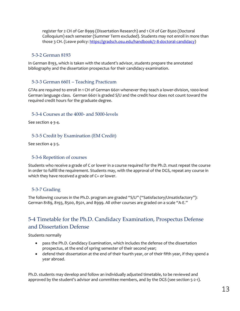register for 2 CH of Ger 8999 (Dissertation Research) and 1 CH of Ger 8500 (Doctoral Colloquium) each semester (Summer Term excluded). Students may not enroll in more than those 3 CH. (Leave policy: [https://gradsch.osu.edu/handbook/7-8-doctoral-candidacy\)](https://gradsch.osu.edu/handbook/7-8-doctoral-candidacy)

#### 5-3-2 German 8193

In German 8193, which is taken with the student's advisor, students prepare the annotated bibliography and the dissertation prospectus for their candidacy examination.

### 5-3-3 German 6601 – Teaching Practicum

GTAs are required to enroll in 1 CH of German 6601 whenever they teach a lower-division, 1000-level German language class. German 6601 is graded S/U and the credit hour does not count toward the required credit hours for the graduate degree.

#### 5-3-4 Courses at the 4000- and 5000-levels

See section 4-3-4.

#### 5-3-5 Credit by Examination (EM Credit)

See section 4-3-5.

#### 5-3-6 Repetition of courses

Students who receive a grade of C or lower in a course required for the Ph.D. must repeat the course in order to fulfill the requirement. Students may, with the approval of the DGS, repeat any course in which they have received a grade of C+ or lower.

### 5-3-7 Grading

The following courses in the Ph.D. program are graded "S/U" ("Satisfactory/Unsatisfactory"): German 8189, 8193, 8500, 8501, and 8999. All other courses are graded on a scale "A-E."

## <span id="page-12-0"></span>5-4 Timetable for the Ph.D. Candidacy Examination, Prospectus Defense and Dissertation Defense

Students normally

- pass the Ph.D. Candidacy Examination, which includes the defense of the dissertation prospectus, at the end of spring semester of their second year;
- defend their dissertation at the end of their fourth year, or of their fifth year, if they spend a year abroad.

Ph.D. students may develop and follow an individually adjusted timetable, to be reviewed and approved by the student's advisor and committee members, and by the DGS (see section 5-2-1).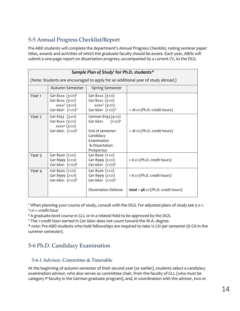## <span id="page-13-0"></span>5-5 Annual Progress Checklist/Report

Pre-ABD students will complete the department's Annual Progress Checklist, noting seminar paper titles, awards and activities of which the graduate faculty should be aware. Each year, ABDs will submit a one-page report on dissertation progress, accompanied by a current *CV*, to the DGS.

| Sample Plan of Study <sup>1</sup> for Ph.D. students*                            |                                                                                                 |                                                                                                                           |                                      |  |
|----------------------------------------------------------------------------------|-------------------------------------------------------------------------------------------------|---------------------------------------------------------------------------------------------------------------------------|--------------------------------------|--|
| (Note: Students are encouraged to apply for an additional year of study abroad.) |                                                                                                 |                                                                                                                           |                                      |  |
|                                                                                  | Autumn Semester                                                                                 | <b>Spring Semester</b>                                                                                                    |                                      |  |
| Year <sub>1</sub>                                                                | Ger $8$ xxx $(3-CH)^2$<br>Ger $8$ xxx $(3-CH)$<br>$XXX3$ (3-CH)<br>Ger 6601 (1-CH) <sup>4</sup> | Ger 8xxx (3-CH)<br>Ger $8$ xxx $(3-CH)$<br>$XXX3$ (3-CH)<br>Ger 6601 (1-CH) <sup>4</sup>                                  | $= 18$ CH (Ph.D. credit hours)       |  |
| Year 2                                                                           | Ger 8193 (3-CH)<br>Ger $8$ xxx $(3-CH)$<br>$XXX3$ (3-CH)<br>Ger 6601 (1-CH) <sup>4</sup>        | German 8193 (9-CH)<br>Ger 6601 $(1-CH)^4$<br>End of semester:<br>Candidacy<br>Examination<br>& Dissertation<br>Prospectus | $=$ 18 CH (Ph.D. credit hours)       |  |
| Year 3                                                                           | Ger 8500 (1-CH)<br>Ger 8999 (2-CH)<br>Ger 6601 (1-CH) <sup>4</sup>                              | Ger 8500 (1-CH)<br>Ger 8999 (2-CH)<br>Ger 6601 (1-CH) <sup>4</sup>                                                        | $= 6$ CH (Ph.D. credit hours)        |  |
| Year 4                                                                           | Ger 8500 (1-CH)<br>Ger 8999 (2-CH)<br>Ger 6601 (1-CH) <sup>4</sup>                              | Ger 8500 (1-CH)<br>Ger 8999 (2-CH)<br>Ger 6601 (1-CH) <sup>4</sup>                                                        | $= 6$ CH (Ph.D. credit hours)        |  |
|                                                                                  |                                                                                                 | Dissertation Defense                                                                                                      | total = $48$ CH (Ph.D. credit hours) |  |

<sup>1</sup> When planning your course of study, consult with the DGS. For adjusted plans of study see 5-2-1. **<sup>2</sup>** CH = credit hour

**<sup>3</sup>** A graduate-level course in GLL or in a related field to be approved by the DGS.

<sup>4</sup> The 1 credit hour earned in Ger 6601 does not count toward the M.A. degree.

\* *note*: Pre-ABD students who hold fellowships are required to take 12 CH per semester (6 CH in the summer semester).

## <span id="page-13-1"></span>5-6 Ph.D. Candidacy Examination

### 5-6-1 Advisor, Committee & Timetable

At the beginning of autumn semester of their second year (or earlier), students select a candidacy examination advisor, who also serves as committee chair, from the faculty of GLL (who must be category P faculty in the German graduate program), and, in coordination with the advisor, two or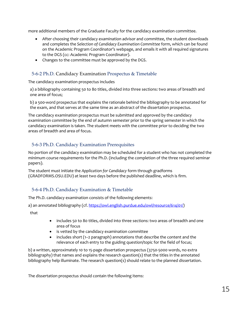more additional members of the Graduate Faculty for the candidacy examination committee.

- After choosing their candidacy examination advisor and committee, the student downloads and completes the *Selection of Candidacy Examination Committee* form, which can be found on the Academic Program Coordinator's webpage, and emails it with all required signatures to the DGS (cc: Academic Program Coordinator).
- Changes to the committee must be approved by the DGS.

### 5-6-2 Ph.D. Candidacy Examination Prospectus & Timetable

The candidacy examination prospectus includes

a) a bibliography containing 50 to 80 titles, divided into three sections: two areas of breadth and one area of focus;

b) a 500-word prospectus that explains the rationale behind the bibliography to be annotated for the exam, and that serves at the same time as an abstract of the dissertation prospectus.

The candidacy examination prospectus must be submitted and approved by the candidacy examination committee by the end of autumn semester prior to the spring semester in which the candidacy examination is taken. The student meets with the committee prior to deciding the two areas of breadth and area of focus.

### 5-6-3 Ph.D. Candidacy Examination Prerequisites

No portion of the candidacy examination may be scheduled for a student who has not completed the minimum course requirements for the Ph.D. (including the completion of the three required seminar papers).

The student must initiate the *Application for Candidacy* form through gradforms (GRADFORMS.OSU.EDU) at least two days before the published deadline, which is firm.

### 5-6-4 Ph.D. Candidacy Examination & Timetable

The Ph.D. candidacy examination consists of the following elements:

a) an annotated bibliography (cf. [https://owl.english.purdue.edu/owl/resource/614/01/\)](https://owl.english.purdue.edu/owl/resource/614/01/)

that

- includes 50 to 80 titles, divided into three sections: two areas of breadth and one area of focus
- is vetted by the candidacy examination committee
- includes short (1–2 paragraph) annotations that describe the content and the relevance of each entry to the guiding question/topic for the field of focus;

b) a written, approximately 10 to 15-page dissertation prospectus (3750-5000 words, no extra bibliography) that names and explains the research question(s) that the titles in the annotated bibliography help illuminate. The research question(s) should relate to the planned dissertation.

The dissertation prospectus should contain the following items: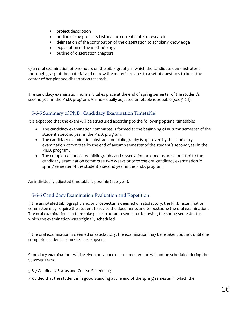- project description
- outline of the project's history and current state of research
- delineation of the contribution of the dissertation to scholarly knowledge
- explanation of the methodology
- outline of dissertation chapters

c) an oral examination of two hours on the bibliography in which the candidate demonstrates a thorough grasp of the material and of how the material relates to a set of questions to be at the center of her planned dissertation research.

The candidacy examination normally takes place at the end of spring semester of the student's second year in the Ph.D. program. An individually adjusted timetable is possible (see 5-2-1).

### 5-6-5 Summary of Ph.D. Candidacy Examination Timetable

It is expected that the exam will be structured according to the following optimal timetable:

- The candidacy examination committee is formed at the beginning of autumn semester of the student's second year in the Ph.D. program.
- The candidacy examination abstract and bibliography is approved by the candidacy examination committee by the end of autumn semester of the student's second year in the Ph.D. program.
- The completed annotated bibliography and dissertation prospectus are submitted to the candidacy examination committee two weeks prior to the oral candidacy examination in spring semester of the student's second year in the Ph.D. program.

An individually adjusted timetable is possible (see 5-2-1).

### 5-6-6 Candidacy Examination Evaluation and Repetition

If the annotated bibliography and/or prospectus is deemed unsatisfactory, the Ph.D. examination committee may require the student to revise the documents and to postpone the oral examination. The oral examination can then take place in autumn semester following the spring semester for which the examination was originally scheduled.

If the oral examination is deemed unsatisfactory, the examination may be retaken, but not until one complete academic semester has elapsed.

Candidacy examinations will be given only once each semester and will not be scheduled during the Summer Term.

#### 5-6-7 Candidacy Status and Course Scheduling

Provided that the student is in good standing at the end of the spring semester in which the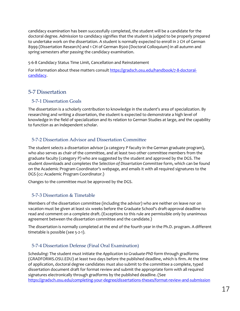candidacy examination has been successfully completed, the student will be a candidate for the doctoral degree. Admission to candidacy signifies that the student is judged to be properly prepared to undertake work on the dissertation. A student is normally expected to enroll in 2 CH of German 8999 (Dissertation Research) and 1 CH of German 8500 (Doctoral Colloquium) in all autumn and spring semesters after passing the candidacy examination.

5-6-8 Candidacy Status Time Limit, Cancellation and Reinstatement

For information about these matters consul[t https://gradsch.osu.edu/handbook/7-8-doctoral](https://gradsch.osu.edu/handbook/7-8-doctoral-candidacy)[candidacy.](https://gradsch.osu.edu/handbook/7-8-doctoral-candidacy)

## <span id="page-16-0"></span>5-7 Dissertation

### 5-7-1 Dissertation Goals

The dissertation is a scholarly contribution to knowledge in the student's area of specialization. By researching and writing a dissertation, the student is expected to demonstrate a high level of knowledge in the field of specialization and its relation to German Studies at large, and the capability to function as an independent scholar.

### 5-7-2 Dissertation Advisor and Dissertation Committee

The student selects a dissertation advisor (a category P faculty in the German graduate program), who also serves as chair of the committee, and at least two other committee members from the graduate faculty (category P) who are suggested by the student and approved by the DGS. The student downloads and completes the *Selection of Dissertation Committee* form, which can be found on the Academic Program Coordinator's webpage, and emails it with all required signatures to the DGS (cc: Academic Program Coordinator.)

Changes to the committee must be approved by the DGS.

## 5-7-3 Dissertation & Timetable

Members of the dissertation committee (including the advisor) who are neither on leave nor on vacation must be given at least six weeks before the Graduate School's draft-approval deadline to read and comment on a complete draft. (Exceptions to this rule are permissible only by unanimous agreement between the dissertation committee and the candidate.)

The dissertation is normally completed at the end of the fourth year in the Ph.D. program. A different timetable is possible (see 5-2-1).

## 5-7-4 Dissertation Defense (Final Oral Examination)

*Scheduling:* The student must initiate the *Application to Graduate-PhD* form through gradforms (GRADFORMS.OSU.EDU) at least two days before the published deadline, which is firm. At the time of application, doctoral degree candidates must also submit to the committee a complete, typed dissertation document draft for format review and submit the appropriate form with all required signatures electronically through gradforms by the published deadline. (See <https://gradsch.osu.edu/completing-your-degree/dissertations-theses/format-review-and-submission>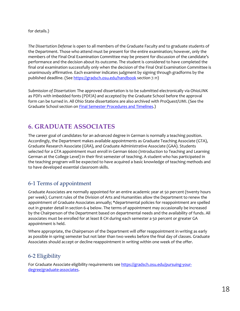for details.)

*The Dissertation Defense* is open to all members of the Graduate Faculty and to graduate students of the Department. Those who attend must be present for the entire examination; however, only the members of the Final Oral Examination Committee may be present for discussion of the candidate's performance and the decision about its outcome. The student is considered to have completed the final oral examination successfully only when the decision of the Final Oral Examination Committee is unanimously affirmative. Each examiner indicates judgment by signing through gradforms by the published deadline. (Se[e https://gradsch.osu.edu/handbook](https://gradsch.osu.edu/handbook) section 7.11)

*Submission of Dissertation*: The approved dissertation is to be submitted electronically via OhioLINK as PDFs with imbedded fonts (PDF/A) and accepted by the Graduate School before the approval form can be turned in. All Ohio State dissertations are also archived with ProQuest/UMI. (See the Graduate School section on **Final Semester Procedures and Timelines.**)

# <span id="page-17-0"></span>**6. GRADUATE ASSOCIATES**

The career goal of candidates for an advanced degree in German is normally a teaching position. Accordingly, the Department makes available appointments as Graduate Teaching Associate (GTA), Graduate Research Associate (GRA), and Graduate Administrative Associate (GAA). Students selected for a GTA appointment must enroll in German 6600 (Introduction to Teaching and Learning German at the College Level) in their first semester of teaching. A student who has participated in the teaching program will be expected to have acquired a basic knowledge of teaching methods and to have developed essential classroom skills.

## 6-1 Terms of appointment

Graduate Associates are normally appointed for an entire academic year at 50 percent (twenty hours per week). Current rules of the Division of Arts and Humanities allow the Department to renew the appointment of Graduate Associates annually; \*departmental policies for reappointment are spelled out in greater detail in section 6-4 below. The terms of appointment may occasionally be increased by the Chairperson of the Department based on departmental needs and the availability of funds. All associates must be enrolled for at least 8 CH during each semester a 50 percent or greater GA appointment is held.

Where appropriate, the Chairperson of the Department will offer reappointment in writing as early as possible in spring semester but not later than two weeks before the final day of classes. Graduate Associates should accept or decline reappointment in writing within one week of the offer.

## 6-2 Eligibility

For Graduate Associate eligibility requirements see [https://gradsch.osu.edu/pursuing-your](https://gradsch.osu.edu/pursuing-your-degree/graduate-associates)[degree/graduate-associates.](https://gradsch.osu.edu/pursuing-your-degree/graduate-associates)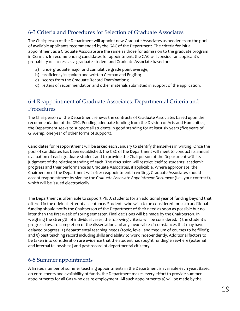## 6-3 Criteria and Procedures for Selection of Graduate Associates

The Chairperson of the Department will appoint new Graduate Associates as needed from the pool of available applicants recommended by the GAC of the Department. The criteria for initial appointment as a Graduate Associate are the same as those for admission to the graduate program in German. In recommending candidates for appointment, the GAC will consider an applicant's probability of success as a graduate student and Graduate Associate based on:

- a) undergraduate major and cumulative grade point average;
- b) proficiency in spoken and written German and English;
- c) scores from the Graduate Record Examinations;
- d) letters of recommendation and other materials submitted in support of the application.

## 6-4 Reappointment of Graduate Associates: Departmental Criteria and Procedures

The Chairperson of the Department renews the contracts of Graduate Associates based upon the recommendation of the GSC. Pending adequate funding from the Division of Arts and Humanities, the Department seeks to support all students in good standing for at least six years (five years of GTA-ship, one year of other forms of support).

Candidates for reappointment will be asked each January to identify themselves in writing. Once the pool of candidates has been established, the GSC of the Department will meet to conduct its annual evaluation of each graduate student and to provide the Chairperson of the Department with its judgment of the relative standing of each. The discussion will restrict itself to students' academic progress and their performance as Graduate Associates, if applicable. Where appropriate, the Chairperson of the Department will offer reappointment in writing. Graduate Associates should accept reappointment by signing the *Graduate Associate Appointment Document* (i.e., your contract), which will be issued electronically.

The Department is often able to support Ph.D. students for an additional year of funding beyond that offered in the original letter of acceptance. Students who wish to be considered for such additional funding should notify the Chairperson of the Department of their need as soon as possible but no later than the first week of spring semester. Final decisions will be made by the Chairperson. In weighing the strength of individual cases, the following criteria will be considered: 1) the student's progress toward completion of the dissertation and any inexorable circumstances that may have delayed progress; 2) departmental teaching needs (topic, level, and medium of courses to be filled); and 3) past teaching record including skills and ability to work independently. Additional factors to be taken into consideration are evidence that the student has sought funding elsewhere (external and internal fellowships) and past record of departmental citizenry.

## 6-5 Summer appointments

A limited number of summer teaching appointments in the Department is available each year. Based on enrollments and availability of funds, the Department makes every effort to provide summer appointments for all GAs who desire employment. All such appointments a) will be made by the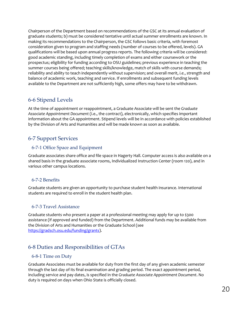Chairperson of the Department based on recommendations of the GSC at its annual evaluation of graduate students; b) must be considered tentative until actual summer enrollments are known. In making its recommendations to the Chairperson, the GSC follows basic criteria, with foremost consideration given to program and staffing needs (number of courses to be offered, levels). GA qualifications will be based upon annual progress reports. The following criteria will be considered: good academic standing, including timely completion of exams and either coursework or the prospectus; eligibility for funding according to OSU guidelines; previous experience in teaching the summer courses being offered; teaching skills/knowledge, match of skills with course demands; reliability and ability to teach independently without supervision; and overall merit, *i.e.*, strength and balance of academic work, teaching and service. If enrollments and subsequent funding levels available to the Department are not sufficiently high, some offers may have to be withdrawn.

## 6-6 Stipend Levels

At the time of appointment or reappointment, a Graduate Associate will be sent the *Graduate Associate Appointment Document* (i.e., the contract), electronically, which specifies important information about the GA appointment. Stipend levels will be in accordance with policies established by the Division of Arts and Humanities and will be made known as soon as available.

## 6-7 Support Services

### 6-7-1 Office Space and Equipment

Graduate associates share office and file space in Hagerty Hall. Computer access is also available on a shared basis in the graduate associate rooms, Individualized Instruction Center (room 120), and in various other campus locations.

### 6-7-2 Benefits

Graduate students are given an opportunity to purchase student health insurance. International students are required to enroll in the student health plan.

### 6-7-3 Travel Assistance

Graduate students who present a paper at a professional meeting may apply for up to \$300 assistance (if approved and funded) from the Department. Additional funds may be available from the Division of Arts and Humanities or the Graduate School (see [https://gradsch.osu.edu/funding/grants\)](https://gradsch.osu.edu/funding/grants).

## 6-8 Duties and Responsibilities of GTAs

### 6-8-1 Time on Duty

Graduate Associates must be available for duty from the first day of any given academic semester through the last day of its final examination and grading period. The exact appointment period, including service and pay dates, is specified in the *Graduate Associate Appointment Document*. No duty is required on days when Ohio State is officially closed.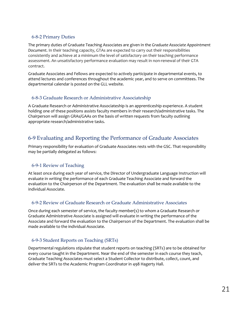### 6-8-2 Primary Duties

The primary duties of Graduate Teaching Associates are given in the *Graduate Associate Appointment Document*. In their teaching capacity, GTAs are expected to carry out their responsibilities consistently and achieve at a minimum the level of satisfactory on their teaching performance assessment. An unsatisfactory performance evaluation may result in non-renewal of their GTA contract.

Graduate Associates and Fellows are expected to actively participate in departmental events, to attend lectures and conferences throughout the academic year, and to serve on committees. The departmental calendar is posted on the GLL website.

### 6-8-3 Graduate Research or Administrative Associateship

A Graduate Research or Administrative Associateship is an apprenticeship experience. A student holding one of these positions assists faculty members in their research/administrative tasks. The Chairperson will assign GRAs/GAAs on the basis of written requests from faculty outlining appropriate research/administrative tasks.

## 6-9 Evaluating and Reporting the Performance of Graduate Associates

Primary responsibility for evaluation of Graduate Associates rests with the GSC. That responsibility may be partially delegated as follows:

### 6-9-1 Review of Teaching

At least once during each year of service, the Director of Undergraduate Language Instruction will evaluate in writing the performance of each Graduate Teaching Associate and forward the evaluation to the Chairperson of the Department. The evaluation shall be made available to the individual Associate.

### 6-9-2 Review of Graduate Research or Graduate Administrative Associates

Once during each semester of service, the faculty member(s) to whom a Graduate Research or Graduate Administrative Associate is assigned will evaluate in writing the performance of the Associate and forward the evaluation to the Chairperson of the Department. The evaluation shall be made available to the individual Associate.

### 6-9-3 Student Reports on Teaching (SRTs)

Departmental regulations stipulate that student reports on teaching (SRTs) are to be obtained for every course taught in the Department. Near the end of the semester in each course they teach, Graduate Teaching Associates must select a Student Collector to distribute, collect, count, and deliver the SRTs to the Academic Program Coordinator in 498 Hagerty Hall.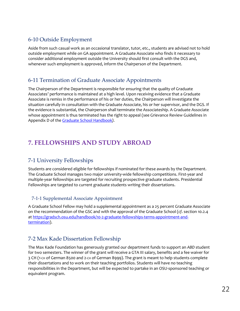## 6-10 Outside Employment

Aside from such casual work as an occasional translator, tutor, etc., students are advised not to hold outside employment while on GA appointment. A Graduate Associate who finds it necessary to consider additional employment outside the University should first consult with the DGS and, whenever such employment is approved, inform the Chairperson of the Department.

## 6-11 Termination of Graduate Associate Appointments

The Chairperson of the Department is responsible for ensuring that the quality of Graduate Associates' performance is maintained at a high level. Upon receiving evidence that a Graduate Associate is remiss in the performance of his or her duties, the Chairperson will investigate the situation carefully in consultation with the Graduate Associate, his or her supervisor, and the DGS. If the evidence is substantial, the Chairperson shall terminate the Associateship. A Graduate Associate whose appointment is thus terminated has the right to appeal (see Grievance Review Guidelines in Appendix D of th[e Graduate School Handbook](https://gradsch.osu.edu/handbook)*).*

# <span id="page-21-0"></span>**7. FELLOWSHIPS AND STUDY ABROAD**

## 7-1 University Fellowships

Students are considered eligible for fellowships if nominated for these awards by the Department. The Graduate School manages two major university-wide fellowship competitions. First-year and multiple-year fellowships are targeted for recruiting prospective graduate students. Presidential Fellowships are targeted to current graduate students writing their dissertations.

### 7-1-1 Supplemental Associate Appointment

A Graduate School Fellow may hold a supplemental appointment as a 25 percent Graduate Associate on the recommendation of the GSC and with the approval of the Graduate School (*cf*. section 10.2.4 at [https://gradsch.osu.edu/handbook/10-2-graduate-fellowships-terms-appointment-and](https://gradsch.osu.edu/handbook/10-2-graduate-fellowships-terms-appointment-and-termination)[termination\)](https://gradsch.osu.edu/handbook/10-2-graduate-fellowships-terms-appointment-and-termination).

## 7-2 Max Kade Dissertation Fellowship

The Max Kade Foundation has generously granted our department funds to support an *ABD* student for two semesters. The winner of the grant will receive a GTA III salary, benefits and a fee waiver for 3 CH (1-CH of German 8500 and 2-CH of German 8999). The grant is meant to help students complete their dissertations and to work on their teaching portfolios. Students will have no teaching responsibilities in the Department, but will be expected to partake in an OSU-sponsored teaching or equivalent program.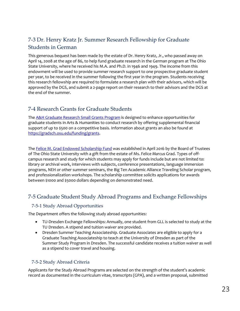## 7-3 Dr. Henry Kratz Jr. Summer Research Fellowship for Graduate Students in German

This generous bequest has been made by the estate of Dr. Henry Kratz, Jr., who passed away on April 14, 2008 at the age of 86, to help fund graduate research in the German program at The Ohio State University, where he received his M.A. and Ph.D. in 1946 and 1949. The income from this endowment will be used to provide summer research support to one prospective graduate student per year, to be received in the summer following the first year in the program. Students receiving this research fellowship are required to formulate a research plan with their advisors, which will be approved by the DGS, and submit a 2-page report on their research to their advisors and the DGS at the end of the summer.

## 7-4 Research Grants for Graduate Students

The [A&H Graduate Research Small Grants Program](https://artsandsciences.osu.edu/academics/graduate-students/funding-resources) is designed to enhance opportunities for graduate students in Arts & Humanities to conduct research by offering supplemental financial support of up to \$500 on a competitive basis. Information about grants an also be found at [https://gradsch.osu.edu/funding/grants.](https://gradsch.osu.edu/funding/grants)

Th[e Felice M. Grad Endowed Scholarship Fund](https://germanic.osu.edu/news/felice-m.-grad-endowed-scholarships) was established in April 2016 by the Board of Trustees of The Ohio State University with a gift from the estate of Ms. Felice *Marcus* Grad. Types of offcampus research and study for which students may apply for funds include but are not limited to: library or archival work, interviews with subjects, conference presentations, language immersion programs, NEH or other summer seminars, the Big Ten Academic Alliance Traveling Scholar program, and professionalization workshops. The scholarship committee solicits applications for awards between \$1000 and \$5000 dollars depending on demonstrated need.

## 7-5 Graduate Student Study Abroad Programs and Exchange Fellowships

### 7-5-1 Study Abroad Opportunities

The Department offers the following study abroad opportunities:

- TU-Dresden Exchange Fellowships: Annually, one student from GLL is selected to study at the TU Dresden. A stipend and tuition waiver are provided.
- Dresden Summer Teaching Associateship. Graduate Associates are eligible to apply for a Graduate Teaching Associateship to teach at the University of Dresden as part of the Summer Study Program in Dresden. The successful candidate receives a tuition waiver as well as a stipend to cover travel and housing.

### 7-5-2 Study Abroad Criteria

Applicants for the Study Abroad Programs are selected on the strength of the student's academic record as documented in the curriculum vitae, transcripts (GPA), and a written proposal, submitted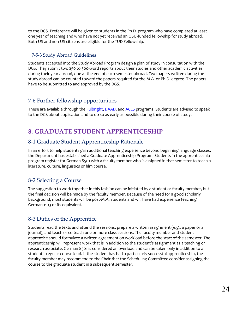to the DGS. Preference will be given to students in the Ph.D. program who have completed at least one year of teaching and who have not yet received an OSU-funded fellowship for study abroad. Both US and non-US citizens are eligible for the TUD Fellowship.

### 7-5-3 Study Abroad Guidelines

Students accepted into the Study Abroad Program design a plan of study in consultation with the DGS. They submit two 250 to 500-word reports about their studies and other academic activities during their year abroad, one at the end of each semester abroad. Two papers written during the study abroad can be counted toward the papers required for the M.A. or Ph.D. degree. The papers have to be submitted to and approved by the DGS.

## 7-6 Further fellowship opportunities

These are available through the **Fulbright, DAAD**, and [ACLS](http://www.acls.org/grants/Default.aspx?id=512) programs. Students are advised to speak to the DGS about application and to do so as early as possible during their course of study.

# <span id="page-23-0"></span>**8. GRADUATE STUDENT APPRENTICESHIP**

## 8-1 Graduate Student Apprenticeship Rationale

In an effort to help students gain additional teaching experience beyond beginning language classes, the Department has established a Graduate Apprenticeship Program. Students in the apprenticeship program register for German 8501 with a faculty member who is assigned in that semester to teach a literature, culture, linguistics or film course.

## 8-2 Selecting a Course

The suggestion to work together in this fashion can be initiated by a student or faculty member, but the final decision will be made by the faculty member. Because of the need for a good scholarly background, most students will be post-M.A. students and will have had experience teaching German 1103 or its equivalent.

## 8-3 Duties of the Apprentice

Students read the texts and attend the sessions, prepare a written assignment (e.g., a paper or a journal), and teach or co-teach one or more class sessions. The faculty member and student apprentice should formulate a written agreement on workload before the start of the semester. The apprenticeship will represent work that is in addition to the student's assignment as a teaching or research associate. German 8501 is considered an overload and can be taken only in addition to a student's regular course load. If the student has had a particularly successful apprenticeship, the faculty member may recommend to the Chair that the Scheduling Committee consider assigning the course to the graduate student in a subsequent semester.